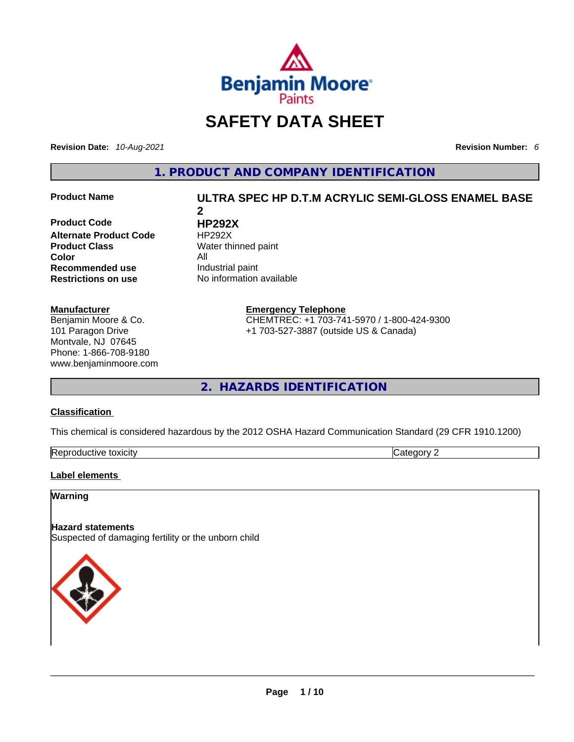

## **SAFETY DATA SHEET**

**Revision Date:** *10-Aug-2021* **Revision Number:** *6*

**1. PRODUCT AND COMPANY IDENTIFICATION** 

**Product Code HP292X Alternate Product Code HP292X Product Class Water thinned paint Color**<br> **Recommended use All** Industrial paint **Recommended use**<br>**Restrictions on use** 

#### **Manufacturer**

Benjamin Moore & Co. 101 Paragon Drive Montvale, NJ 07645 Phone: 1-866-708-9180 www.benjaminmoore.com

## **Product Name ULTRA SPEC HP D.T.M ACRYLIC SEMI-GLOSS ENAMEL BASE 2**

**No information available** 

**Emergency Telephone**

CHEMTREC: +1 703-741-5970 / 1-800-424-9300 +1 703-527-3887 (outside US & Canada)

**2. HAZARDS IDENTIFICATION** 

#### **Classification**

This chemical is considered hazardous by the 2012 OSHA Hazard Communication Standard (29 CFR 1910.1200)

| Reproductive<br>toxicity | .eaor<br>---<br>v |
|--------------------------|-------------------|
|--------------------------|-------------------|

#### **Label elements**

#### **Warning**

#### **Hazard statements**

Suspected of damaging fertility or the unborn child

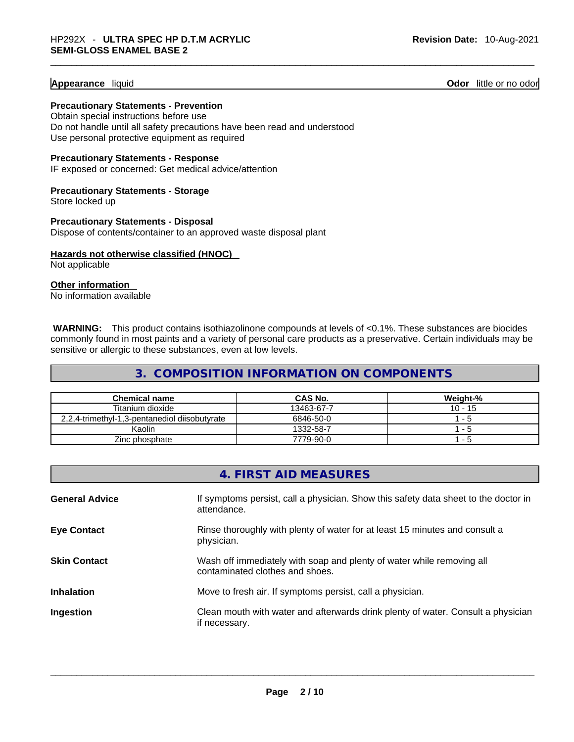#### **Appearance** liquid **Odor 11** and **Odor 11** and **Odor 11** and **Odor 11** and **Odor** 11 and **Odor** 11 and **Odor** 11 and **Odor** 11 and **Odor** 11 and **Odor** 11 and **Odor** 11 and **Odor** 11 and **Odor** 11 and **Odor** 11 and **Odor**

**Precautionary Statements - Prevention** Obtain special instructions before use

Do not handle until all safety precautions have been read and understood Use personal protective equipment as required

**Precautionary Statements - Response**

IF exposed or concerned: Get medical advice/attention

**Precautionary Statements - Storage** Store locked up

**Precautionary Statements - Disposal** Dispose of contents/container to an approved waste disposal plant

**Hazards not otherwise classified (HNOC)**  Not applicable

**Other information** 

No information available

 **WARNING:** This product contains isothiazolinone compounds at levels of <0.1%. These substances are biocides commonly found in most paints and a variety of personal care products as a preservative. Certain individuals may be sensitive or allergic to these substances, even at low levels.

## **3. COMPOSITION INFORMATION ON COMPONENTS**

| <b>Chemical name</b>                          | CAS No.    | Weight-%  |
|-----------------------------------------------|------------|-----------|
| Titanium dioxide                              | 13463-67-7 | $10 - 15$ |
| 2,2,4-trimethyl-1,3-pentanediol diisobutyrate | 6846-50-0  | $1 - 5$   |
| Kaolin                                        | 1332-58-7  | $1 - 5$   |
| Zinc phosphate                                | 7779-90-0  | - 5       |

|                       | 4. FIRST AID MEASURES                                                                                    |
|-----------------------|----------------------------------------------------------------------------------------------------------|
| <b>General Advice</b> | If symptoms persist, call a physician. Show this safety data sheet to the doctor in<br>attendance.       |
| <b>Eye Contact</b>    | Rinse thoroughly with plenty of water for at least 15 minutes and consult a<br>physician.                |
| <b>Skin Contact</b>   | Wash off immediately with soap and plenty of water while removing all<br>contaminated clothes and shoes. |
| <b>Inhalation</b>     | Move to fresh air. If symptoms persist, call a physician.                                                |
| Ingestion             | Clean mouth with water and afterwards drink plenty of water. Consult a physician<br>if necessary.        |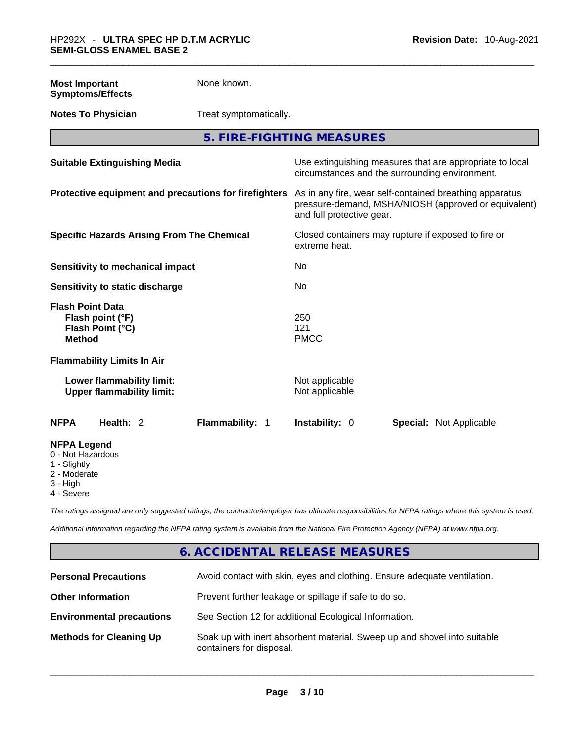| <b>Most Important</b><br><b>Symptoms/Effects</b>                                 | None known.                                           |                                  |                                                                                                                 |  |
|----------------------------------------------------------------------------------|-------------------------------------------------------|----------------------------------|-----------------------------------------------------------------------------------------------------------------|--|
| <b>Notes To Physician</b>                                                        | Treat symptomatically.                                |                                  |                                                                                                                 |  |
|                                                                                  | 5. FIRE-FIGHTING MEASURES                             |                                  |                                                                                                                 |  |
| <b>Suitable Extinguishing Media</b>                                              |                                                       |                                  | Use extinguishing measures that are appropriate to local<br>circumstances and the surrounding environment.      |  |
|                                                                                  | Protective equipment and precautions for firefighters | and full protective gear.        | As in any fire, wear self-contained breathing apparatus<br>pressure-demand, MSHA/NIOSH (approved or equivalent) |  |
| <b>Specific Hazards Arising From The Chemical</b>                                |                                                       | extreme heat.                    | Closed containers may rupture if exposed to fire or                                                             |  |
| <b>Sensitivity to mechanical impact</b>                                          |                                                       | No                               |                                                                                                                 |  |
| Sensitivity to static discharge                                                  |                                                       | No                               |                                                                                                                 |  |
| <b>Flash Point Data</b><br>Flash point (°F)<br>Flash Point (°C)<br><b>Method</b> |                                                       | 250<br>121<br><b>PMCC</b>        |                                                                                                                 |  |
| <b>Flammability Limits In Air</b>                                                |                                                       |                                  |                                                                                                                 |  |
| Lower flammability limit:<br><b>Upper flammability limit:</b>                    |                                                       | Not applicable<br>Not applicable |                                                                                                                 |  |
| Health: 2<br><b>NFPA</b>                                                         | Flammability: 1                                       | Instability: 0                   | <b>Special: Not Applicable</b>                                                                                  |  |
| <b>NFPA Legend</b><br>0 - Not Hazardous<br>1 - Slightly<br>2 - Moderate          |                                                       |                                  |                                                                                                                 |  |

- 3 High
- 4 Severe

*The ratings assigned are only suggested ratings, the contractor/employer has ultimate responsibilities for NFPA ratings where this system is used.* 

*Additional information regarding the NFPA rating system is available from the National Fire Protection Agency (NFPA) at www.nfpa.org.* 

## **6. ACCIDENTAL RELEASE MEASURES**

| <b>Personal Precautions</b>      | Avoid contact with skin, eyes and clothing. Ensure adequate ventilation.                             |
|----------------------------------|------------------------------------------------------------------------------------------------------|
| <b>Other Information</b>         | Prevent further leakage or spillage if safe to do so.                                                |
| <b>Environmental precautions</b> | See Section 12 for additional Ecological Information.                                                |
| <b>Methods for Cleaning Up</b>   | Soak up with inert absorbent material. Sweep up and shovel into suitable<br>containers for disposal. |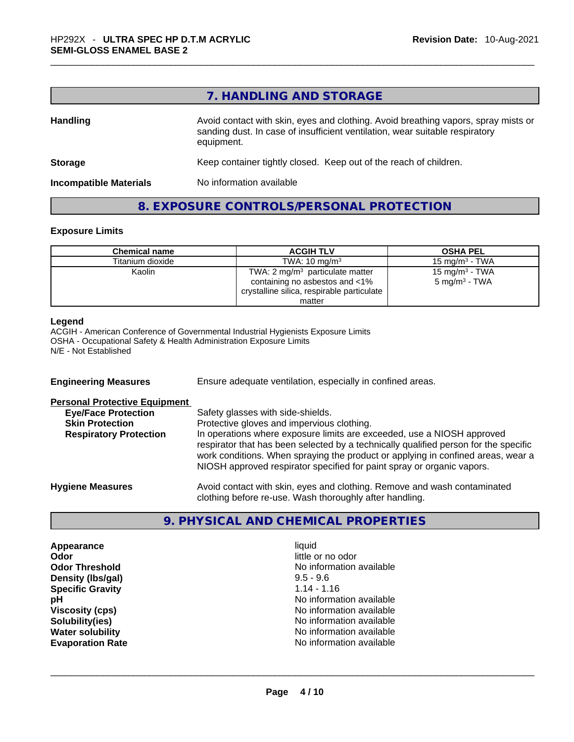## **7. HANDLING AND STORAGE**

| <b>Handling</b>               | Avoid contact with skin, eyes and clothing. Avoid breathing vapors, spray mists or<br>sanding dust. In case of insufficient ventilation, wear suitable respiratory<br>equipment. |  |
|-------------------------------|----------------------------------------------------------------------------------------------------------------------------------------------------------------------------------|--|
| <b>Storage</b>                | Keep container tightly closed. Keep out of the reach of children.                                                                                                                |  |
| <b>Incompatible Materials</b> | No information available                                                                                                                                                         |  |

#### **8. EXPOSURE CONTROLS/PERSONAL PROTECTION**

#### **Exposure Limits**

| <b>Chemical name</b> | <b>ACGIH TLV</b>                                                                                                  | <b>OSHA PEL</b>                                        |
|----------------------|-------------------------------------------------------------------------------------------------------------------|--------------------------------------------------------|
| Titanium dioxide     | TWA: $10 \text{ mg/m}^3$                                                                                          | 15 mg/m $3$ - TWA                                      |
| Kaolin               | TWA: 2 $mg/m3$ particulate matter<br>containing no asbestos and <1%<br>crystalline silica, respirable particulate | 15 mg/m <sup>3</sup> - TWA<br>$5 \text{ mg/m}^3$ - TWA |
|                      | matter                                                                                                            |                                                        |

#### **Legend**

ACGIH - American Conference of Governmental Industrial Hygienists Exposure Limits OSHA - Occupational Safety & Health Administration Exposure Limits N/E - Not Established

| <b>Engineering Measures</b>          | Ensure adequate ventilation, especially in confined areas.                                                                                                                                                                                                                                                                   |
|--------------------------------------|------------------------------------------------------------------------------------------------------------------------------------------------------------------------------------------------------------------------------------------------------------------------------------------------------------------------------|
| <b>Personal Protective Equipment</b> |                                                                                                                                                                                                                                                                                                                              |
| <b>Eye/Face Protection</b>           | Safety glasses with side-shields.                                                                                                                                                                                                                                                                                            |
| <b>Skin Protection</b>               | Protective gloves and impervious clothing.                                                                                                                                                                                                                                                                                   |
| <b>Respiratory Protection</b>        | In operations where exposure limits are exceeded, use a NIOSH approved<br>respirator that has been selected by a technically qualified person for the specific<br>work conditions. When spraying the product or applying in confined areas, wear a<br>NIOSH approved respirator specified for paint spray or organic vapors. |
| <b>Hygiene Measures</b>              | Avoid contact with skin, eyes and clothing. Remove and wash contaminated<br>clothing before re-use. Wash thoroughly after handling.                                                                                                                                                                                          |

### **9. PHYSICAL AND CHEMICAL PROPERTIES**

**Appearance** liquid **Odor**<br> **Odor Threshold**<br> **Odor Threshold**<br> **CODOR**<br> **CODOR**<br> **CODOR**<br> **CODOR**<br> **CODOR**<br> **CODOR**<br> **CODOR**<br> **CODOR**<br> **CODOR Density (Ibs/gal)** 9.5 - 9.6<br> **Specific Gravity** 3.14 - 1.16 **Specific Gravity** 

No information available<br>9.5 - 9.6 **pH pH No** information available **Viscosity (cps) Viscosity (cps) No information available Solubility(ies)**<br> **No information available**<br> **Water solubility**<br> **Water solubility No information available Evaporation Rate** No information available \_\_\_\_\_\_\_\_\_\_\_\_\_\_\_\_\_\_\_\_\_\_\_\_\_\_\_\_\_\_\_\_\_\_\_\_\_\_\_\_\_\_\_\_\_\_\_\_\_\_\_\_\_\_\_\_\_\_\_\_\_\_\_\_\_\_\_\_\_\_\_\_\_\_\_\_\_\_\_\_\_\_\_\_\_\_\_\_\_\_\_\_\_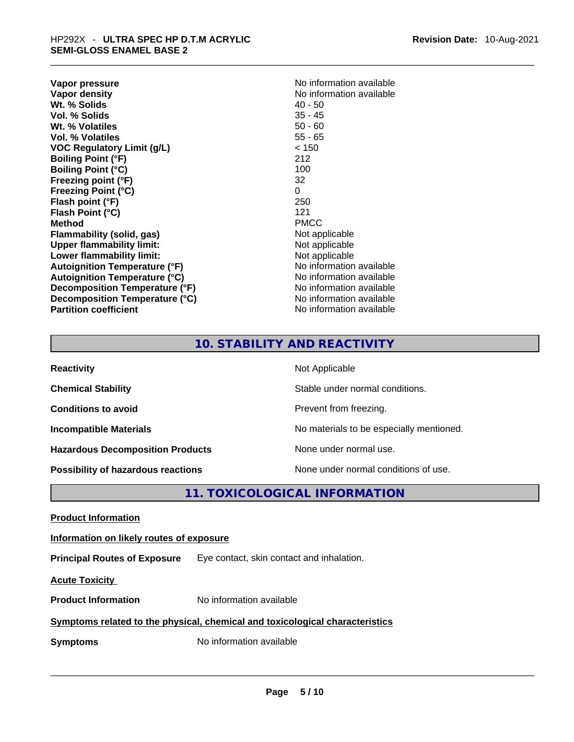| Vapor pressure                       | No information available |
|--------------------------------------|--------------------------|
| <b>Vapor density</b>                 | No information available |
| Wt. % Solids                         | 40 - 50                  |
| Vol. % Solids                        | $35 - 45$                |
| Wt. % Volatiles                      | $50 - 60$                |
| <b>Vol. % Volatiles</b>              | $55 - 65$                |
| VOC Regulatory Limit (g/L)           | < 150                    |
| <b>Boiling Point (°F)</b>            | 212                      |
| <b>Boiling Point (°C)</b>            | 100                      |
| Freezing point (°F)                  | 32                       |
| <b>Freezing Point (°C)</b>           | 0                        |
| Flash point (°F)                     | 250                      |
| Flash Point (°C)                     | 121                      |
| Method                               | <b>PMCC</b>              |
| Flammability (solid, gas)            | Not applicable           |
| <b>Upper flammability limit:</b>     | Not applicable           |
| Lower flammability limit:            | Not applicable           |
| <b>Autoignition Temperature (°F)</b> | No information available |
| <b>Autoignition Temperature (°C)</b> | No information available |
| Decomposition Temperature (°F)       | No information available |
| Decomposition Temperature (°C)       | No information available |
| <b>Partition coefficient</b>         | No information available |
|                                      |                          |

| No information available |
|--------------------------|
| No information available |
| 40 - 50                  |
| 35 - 45                  |
| 50 - 60                  |
| 55 - 65                  |
| < 150                    |
| 212                      |
| 100                      |
| 32                       |
| 0                        |
| 250                      |
| 121                      |
| PMCC                     |
| Not applicable           |
| Not applicable           |
| Not applicable           |
| No information available |
| No information available |
| No information available |
| No information available |
| No information available |

## **10. STABILITY AND REACTIVITY**

| <b>Reactivity</b>                         | Not Applicable                           |
|-------------------------------------------|------------------------------------------|
| <b>Chemical Stability</b>                 | Stable under normal conditions.          |
| <b>Conditions to avoid</b>                | Prevent from freezing.                   |
| <b>Incompatible Materials</b>             | No materials to be especially mentioned. |
| <b>Hazardous Decomposition Products</b>   | None under normal use.                   |
| <b>Possibility of hazardous reactions</b> | None under normal conditions of use.     |

## **11. TOXICOLOGICAL INFORMATION**

**Product Information Information on likely routes of exposure Principal Routes of Exposure** Eye contact, skin contact and inhalation. **Acute Toxicity Product Information** No information available **Symptoms related to the physical,chemical and toxicological characteristics Symptoms** No information available **Notifically and the set of the set of the set of the set of the set of the set of the set of the set of the set of the set of the set of the set of the set of the set of the set of the**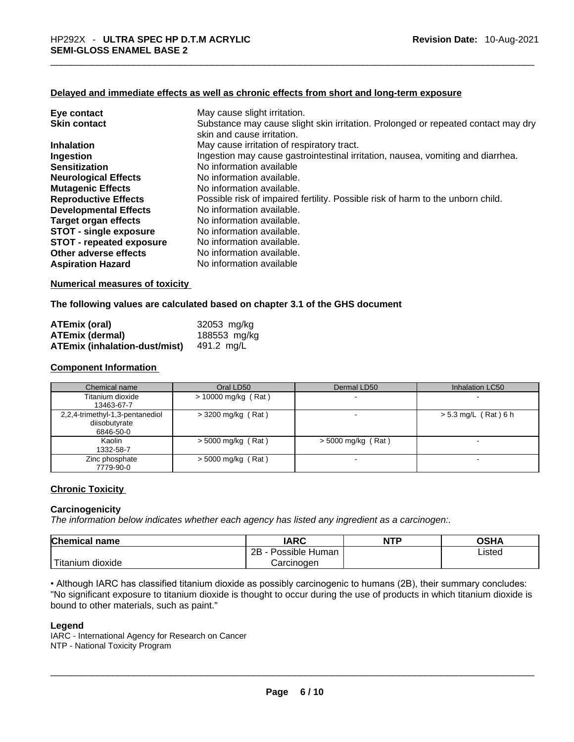#### **Delayed and immediate effects as well as chronic effects from short and long-term exposure**

| Eye contact                     | May cause slight irritation.                                                      |
|---------------------------------|-----------------------------------------------------------------------------------|
| <b>Skin contact</b>             | Substance may cause slight skin irritation. Prolonged or repeated contact may dry |
|                                 | skin and cause irritation.                                                        |
| <b>Inhalation</b>               | May cause irritation of respiratory tract.                                        |
| Ingestion                       | Ingestion may cause gastrointestinal irritation, nausea, vomiting and diarrhea.   |
| <b>Sensitization</b>            | No information available                                                          |
| <b>Neurological Effects</b>     | No information available.                                                         |
| <b>Mutagenic Effects</b>        | No information available.                                                         |
| <b>Reproductive Effects</b>     | Possible risk of impaired fertility. Possible risk of harm to the unborn child.   |
| <b>Developmental Effects</b>    | No information available.                                                         |
| Target organ effects            | No information available.                                                         |
| <b>STOT - single exposure</b>   | No information available.                                                         |
| <b>STOT - repeated exposure</b> | No information available.                                                         |
| Other adverse effects           | No information available.                                                         |
| <b>Aspiration Hazard</b>        | No information available                                                          |

#### **Numerical measures of toxicity**

#### **The following values are calculated based on chapter 3.1 of the GHS document**

| <b>ATEmix (oral)</b>                 | 32053 mg/kg  |
|--------------------------------------|--------------|
| <b>ATEmix (dermal)</b>               | 188553 mg/kg |
| <b>ATEmix (inhalation-dust/mist)</b> | 491.2 mg/L   |

#### **Component Information**

| Chemical name                                                 | Oral LD50             | Dermal LD50          | Inhalation LC50          |
|---------------------------------------------------------------|-----------------------|----------------------|--------------------------|
| Titanium dioxide<br>13463-67-7                                | $> 10000$ mg/kg (Rat) |                      |                          |
| 2,2,4-trimethyl-1,3-pentanediol<br>diisobutyrate<br>6846-50-0 | $>$ 3200 mg/kg (Rat)  |                      | $> 5.3$ mg/L (Rat) 6 h   |
| Kaolin<br>1332-58-7                                           | $>$ 5000 mg/kg (Rat)  | $>$ 5000 mg/kg (Rat) | $\overline{\phantom{0}}$ |
| Zinc phosphate<br>7779-90-0                                   | $>$ 5000 mg/kg (Rat)  | $\blacksquare$       |                          |

#### **Chronic Toxicity**

#### **Carcinogenicity**

*The information below indicates whether each agency has listed any ingredient as a carcinogen:.* 

| <b>Chemical</b><br><b>name</b> | <b>IARC</b>          | <b>NTP</b> | OSHA   |
|--------------------------------|----------------------|------------|--------|
|                                | Possible Human<br>2B |            | Listed |
| $- - -$<br>dioxide<br>itanium  | Carcinogen           |            |        |

• Although IARC has classified titanium dioxide as possibly carcinogenic to humans (2B), their summary concludes: "No significant exposure to titanium dioxide is thought to occur during the use of products in which titanium dioxide is bound to other materials, such as paint."<br>
Legend<br>IARC - International Agency for Research on Cancer<br>
NTP - National Toxicity Program

#### **Legend**

IARC - International Agency for Research on Cancer NTP - National Toxicity Program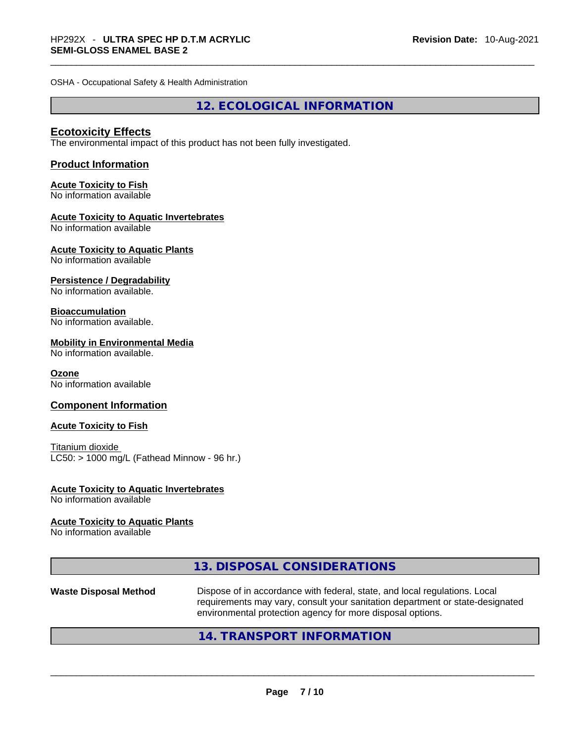OSHA - Occupational Safety & Health Administration

**12. ECOLOGICAL INFORMATION** 

#### **Ecotoxicity Effects**

The environmental impact of this product has not been fully investigated.

#### **Product Information**

## **Acute Toxicity to Fish**

No information available

#### **Acute Toxicity to Aquatic Invertebrates**

No information available

## **Acute Toxicity to Aquatic Plants**

No information available

#### **Persistence / Degradability**

No information available.

#### **Bioaccumulation**

No information available.

#### **Mobility in Environmental Media**

No information available.

#### **Ozone**

No information available

#### **Component Information**

#### **Acute Toxicity to Fish**

Titanium dioxide  $LC50:$  > 1000 mg/L (Fathead Minnow - 96 hr.)

## **Acute Toxicity to Aquatic Invertebrates**

No information available

#### **Acute Toxicity to Aquatic Plants**

No information available

| 13. DISPOSAL CONSIDERATIONS |  |
|-----------------------------|--|
|-----------------------------|--|

# **Waste Disposal Method** Dispose of in accordance with federal, state, and local regulations. Local requirements may vary, consult your sanitation department or state-designated environmental protection agency for more disposal options.<br> $14. \text{ TRANSPORT INFORMATION}$

### **14. TRANSPORT INFORMATION**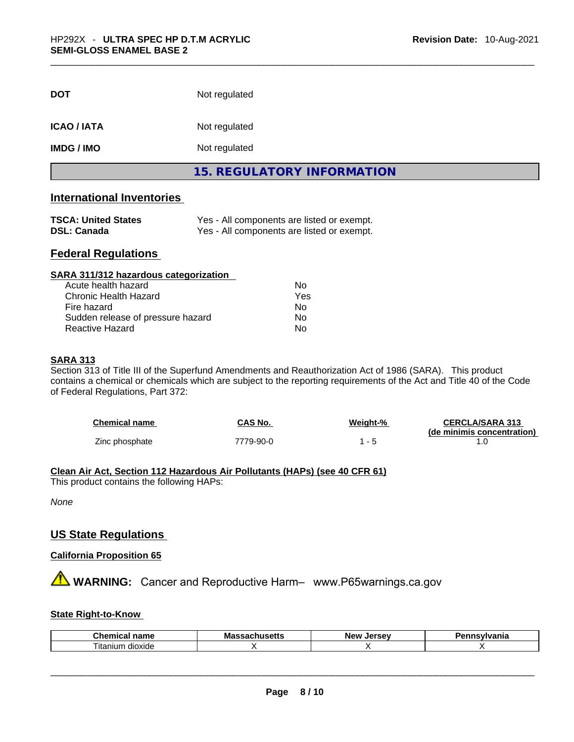| <b>DOT</b>        | Not regulated                     |  |
|-------------------|-----------------------------------|--|
| <b>ICAO/IATA</b>  | Not regulated                     |  |
| <b>IMDG / IMO</b> | Not regulated                     |  |
|                   | <b>15. REGULATORY INFORMATION</b> |  |

## **International Inventories**

| <b>TSCA: United States</b> | Yes - All components are listed or exempt. |
|----------------------------|--------------------------------------------|
| <b>DSL: Canada</b>         | Yes - All components are listed or exempt. |

## **Federal Regulations**

| SARA 311/312 hazardous categorization |                |  |
|---------------------------------------|----------------|--|
| Acute health hazard                   | Nο             |  |
| <b>Chronic Health Hazard</b>          | Yes            |  |
| Fire hazard                           | N <sub>0</sub> |  |
| Sudden release of pressure hazard     | Nο             |  |
| Reactive Hazard                       | No             |  |

#### **SARA 313**

Section 313 of Title III of the Superfund Amendments and Reauthorization Act of 1986 (SARA). This product contains a chemical or chemicals which are subject to the reporting requirements of the Act and Title 40 of the Code of Federal Regulations, Part 372:

| <b>Chemical name</b> | CAS No.   | Weight-% | <b>CERCLA/SARA 313</b>     |
|----------------------|-----------|----------|----------------------------|
|                      |           |          | (de minimis concentration) |
| Zinc phosphate       | 7779-90-0 |          |                            |

#### **Clean Air Act,Section 112 Hazardous Air Pollutants (HAPs) (see 40 CFR 61)**

This product contains the following HAPs:

*None*

#### **US State Regulations**

**California Proposition 65**

## **WARNING:** Cancer and Reproductive Harm– www.P65warnings.ca.gov

#### **State Right-to-Know**

| <b>Chemic</b><br>$ -$<br>ыны<br>111.71 | Mas<br>New<br>Jersev<br>----<br>-- |  | aauluania<br>Ήс |
|----------------------------------------|------------------------------------|--|-----------------|
| $\sim$<br><br>l itanium<br>dioxide     |                                    |  |                 |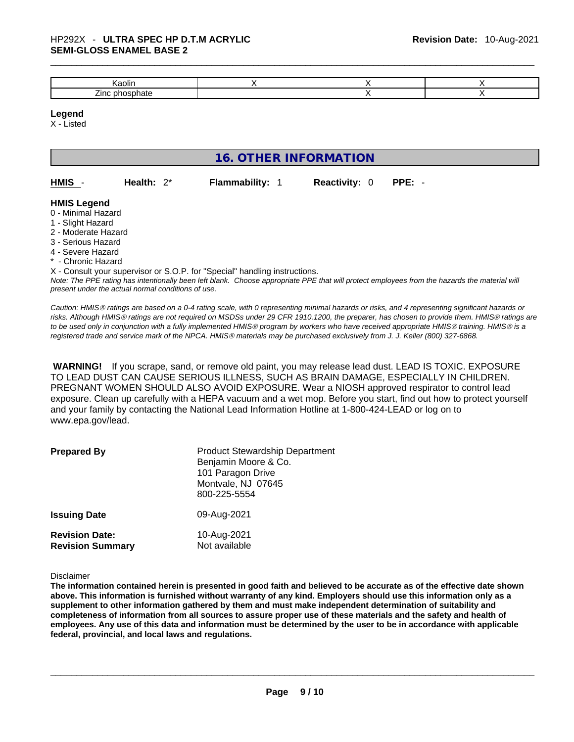| $\sim$                                |  |  |
|---------------------------------------|--|--|
| $\overline{\phantom{a}}$<br>ʻinc<br>m |  |  |

#### **Legend**

X - Listed

|                                                                                                                                                       |                                                    | 16. OTHER INFORMATION                                                      |                      |                                                                                                                                                                                                                                                                                                                                                                                                                                             |
|-------------------------------------------------------------------------------------------------------------------------------------------------------|----------------------------------------------------|----------------------------------------------------------------------------|----------------------|---------------------------------------------------------------------------------------------------------------------------------------------------------------------------------------------------------------------------------------------------------------------------------------------------------------------------------------------------------------------------------------------------------------------------------------------|
| HMIS                                                                                                                                                  | Health: $2^*$                                      | <b>Flammability: 1</b>                                                     | <b>Reactivity: 0</b> | PPE: -                                                                                                                                                                                                                                                                                                                                                                                                                                      |
| <b>HMIS Legend</b><br>0 - Minimal Hazard<br>1 - Slight Hazard<br>2 - Moderate Hazard<br>3 - Serious Hazard<br>4 - Severe Hazard<br>* - Chronic Hazard | present under the actual normal conditions of use. | X - Consult your supervisor or S.O.P. for "Special" handling instructions. |                      | Note: The PPE rating has intentionally been left blank. Choose appropriate PPE that will protect employees from the hazards the material will                                                                                                                                                                                                                                                                                               |
|                                                                                                                                                       |                                                    |                                                                            |                      | Caution: HMIS® ratings are based on a 0-4 rating scale, with 0 representing minimal hazards or risks, and 4 representing significant hazards or<br>risks. Although HMIS® ratings are not required on MSDSs under 29 CFR 1910.1200, the preparer, has chosen to provide them. HMIS® ratings are<br>to be used only in conjunction with a fully implemented HMIS® program by workers who have received appropriate HMIS® training. HMIS® is a |

 **WARNING!** If you scrape, sand, or remove old paint, you may release lead dust. LEAD IS TOXIC. EXPOSURE TO LEAD DUST CAN CAUSE SERIOUS ILLNESS, SUCH AS BRAIN DAMAGE, ESPECIALLY IN CHILDREN. PREGNANT WOMEN SHOULD ALSO AVOID EXPOSURE. Wear a NIOSH approved respirator to control lead exposure. Clean up carefully with a HEPA vacuum and a wet mop. Before you start, find out how to protect yourself and your family by contacting the National Lead Information Hotline at 1-800-424-LEAD or log on to www.epa.gov/lead.

*registered trade and service mark of the NPCA. HMISÒ materials may be purchased exclusively from J. J. Keller (800) 327-6868.* 

| <b>Prepared By</b>                               | <b>Product Stewardship Department</b><br>Benjamin Moore & Co.<br>101 Paragon Drive<br>Montvale, NJ 07645<br>800-225-5554 |
|--------------------------------------------------|--------------------------------------------------------------------------------------------------------------------------|
| <b>Issuing Date</b>                              | 09-Aug-2021                                                                                                              |
| <b>Revision Date:</b><br><b>Revision Summary</b> | 10-Aug-2021<br>Not available                                                                                             |

Disclaimer

The information contained herein is presented in good faith and believed to be accurate as of the effective date shown above. This information is furnished without warranty of any kind. Employers should use this information only as a **supplement to other information gathered by them and must make independent determination of suitability and** completeness of information from all sources to assure proper use of these materials and the safety and health of employees. Any use of this data and information must be determined by the user to be in accordance with applicable **federal, provincial, and local laws and regulations.**